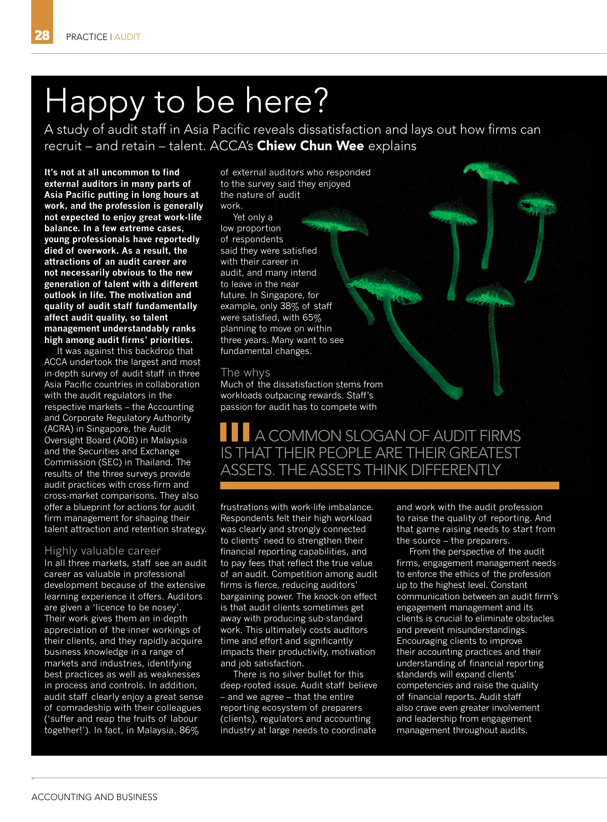# Happy to be here?

A study of audit staff in Asia Pacific reveals dissatisfaction and lays out how firms can recruit – and retain – talent. ACCA's Chiew Chun Wee explains

**It's not at all uncommon to find external auditors in many parts of Asia Pacific putting in long hours at work, and the profession is generally not expected to enjoy great work-life balance. In a few extreme cases, young professionals have reportedly died of overwork. As a result, the attractions of an audit career are not necessarily obvious to the new generation of talent with a different outlook in life. The motivation and quality of audit staff fundamentally affect audit quality, so talent management understandably ranks high among audit firms' priorities.**

It was against this backdrop that ACCA undertook the largest and most in-depth survey of audit staff in three Asia Pacific countries in collaboration with the audit regulators in the respective markets – the Accounting and Corporate Regulatory Authority (ACRA) in Singapore, the Audit Oversight Board (AOB) in Malaysia and the Securities and Exchange Commission (SEC) in Thailand. The results of the three surveys provide audit practices with cross-firm and cross-market comparisons. They also offer a blueprint for actions for audit firm management for shaping their talent attraction and retention strategy.

#### Highly valuable career

In all three markets, staff see an audit career as valuable in professional development because of the extensive learning experience it offers. Auditors are given a 'licence to be nosey'. Their work gives them an in-depth appreciation of the inner workings of their clients, and they rapidly acquire business knowledge in a range of markets and industries, identifying best practices as well as weaknesses in process and controls. In addition, audit staff clearly enjoy a great sense of comradeship with their colleagues ('suffer and reap the fruits of labour together!'). In fact, in Malaysia, 86%

of external auditors who responded to the survey said they enjoyed the nature of audit work.

Yet only a low proportion of respondents said they were satisfied with their career in audit, and many intend to leave in the near future. In Singapore, for example, only 38% of staff were satisfied, with 65% planning to move on within three years. Many want to see fundamental changes.

### The whys

Much of the dissatisfaction stems from workloads outpacing rewards. Staff's passion for audit has to compete with

## **A COMMON SLOGAN OF AUDIT FIRMS** IS THAT THEIR PEOPLE ARE THEIR GREATEST ASSETS. THE ASSETS THINK DIFFERENTLY

frustrations with work-life imbalance. Respondents felt their high workload was clearly and strongly connected to clients' need to strengthen their financial reporting capabilities, and to pay fees that reflect the true value of an audit. Competition among audit firms is fierce, reducing auditors' bargaining power. The knock-on effect is that audit clients sometimes get away with producing sub-standard work. This ultimately costs auditors time and effort and significantly impacts their productivity, motivation and job satisfaction.

There is no silver bullet for this deep-rooted issue. Audit staff believe – and we agree – that the entire reporting ecosystem of preparers (clients), regulators and accounting industry at large needs to coordinate

and work with the audit profession to raise the quality of reporting. And that game raising needs to start from the source – the preparers.

From the perspective of the audit firms, engagement management needs to enforce the ethics of the profession up to the highest level. Constant communication between an audit firm's engagement management and its clients is crucial to eliminate obstacles and prevent misunderstandings. Encouraging clients to improve their accounting practices and their understanding of financial reporting standards will expand clients' competencies and raise the quality of financial reports. Audit staff also crave even greater involvement and leadership from engagement management throughout audits.